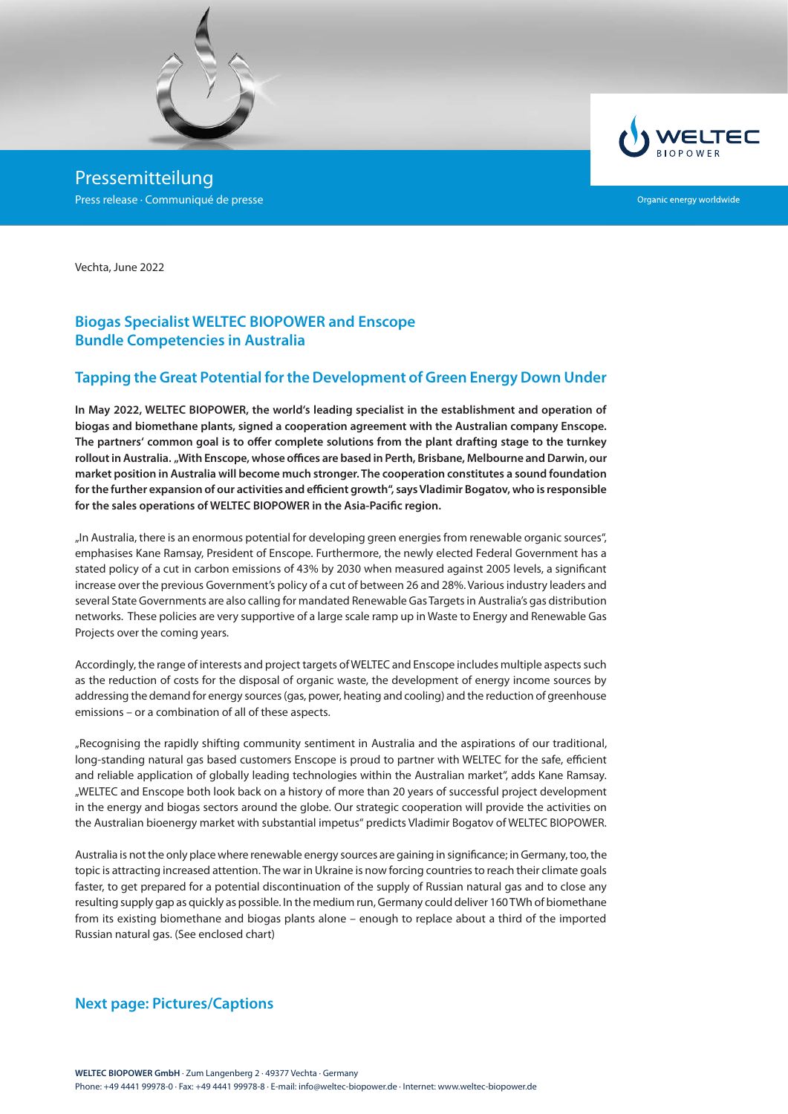

Pressemitteilung Press release · Communiqué de presse



Organic energy worldwide

Vechta, June 2022

## **Biogas Specialist WELTEC BIOPOWER and Enscope Bundle Competencies in Australia**

#### **Tapping the Great Potential for the Development of Green Energy Down Under**

**In May 2022, WELTEC BIOPOWER, the world's leading specialist in the establishment and operation of biogas and biomethane plants, signed a cooperation agreement with the Australian company Enscope. The partners' common goal is to offer complete solutions from the plant drafting stage to the turnkey rollout in Australia. "With Enscope, whose offices are based in Perth, Brisbane, Melbourne and Darwin, our market position in Australia will become much stronger. The cooperation constitutes a sound foundation for the further expansion of our activities and efficient growth", says Vladimir Bogatov, who is responsible for the sales operations of WELTEC BIOPOWER in the Asia-Pacific region.**

"In Australia, there is an enormous potential for developing green energies from renewable organic sources", emphasises Kane Ramsay, President of Enscope. Furthermore, the newly elected Federal Government has a stated policy of a cut in carbon emissions of 43% by 2030 when measured against 2005 levels, a significant increase over the previous Government's policy of a cut of between 26 and 28%. Various industry leaders and several State Governments are also calling for mandated Renewable Gas Targets in Australia's gas distribution networks. These policies are very supportive of a large scale ramp up in Waste to Energy and Renewable Gas Projects over the coming years.

Accordingly, the range of interests and project targets of WELTEC and Enscope includes multiple aspects such as the reduction of costs for the disposal of organic waste, the development of energy income sources by addressing the demand for energy sources (gas, power, heating and cooling) and the reduction of greenhouse emissions – or a combination of all of these aspects.

"Recognising the rapidly shifting community sentiment in Australia and the aspirations of our traditional, long-standing natural gas based customers Enscope is proud to partner with WELTEC for the safe, efficient and reliable application of globally leading technologies within the Australian market", adds Kane Ramsay. "WELTEC and Enscope both look back on a history of more than 20 years of successful project development in the energy and biogas sectors around the globe. Our strategic cooperation will provide the activities on the Australian bioenergy market with substantial impetus" predicts Vladimir Bogatov of WELTEC BIOPOWER.

Australia is not the only place where renewable energy sources are gaining in significance; in Germany, too, the topic is attracting increased attention. The war in Ukraine is now forcing countries to reach their climate goals faster, to get prepared for a potential discontinuation of the supply of Russian natural gas and to close any resulting supply gap as quickly as possible. In the medium run, Germany could deliver 160 TWh of biomethane from its existing biomethane and biogas plants alone – enough to replace about a third of the imported Russian natural gas. (See enclosed chart)

### **Next page: Pictures/Captions**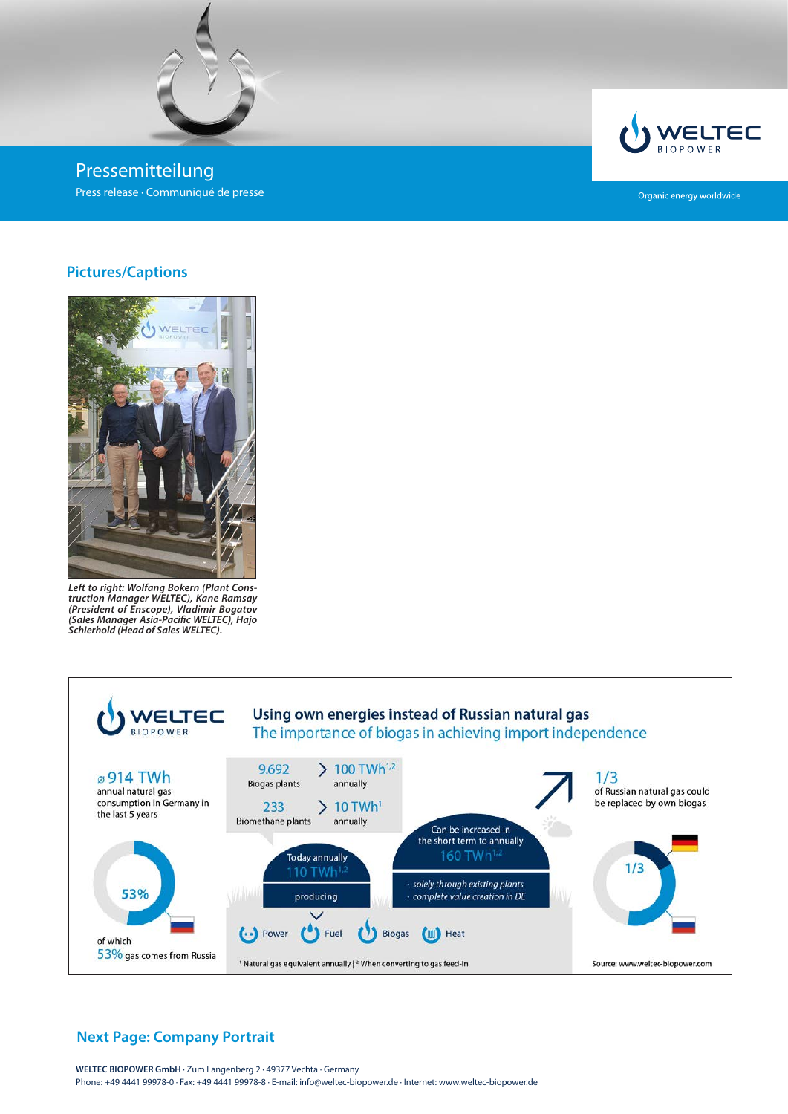

Pressemitteilung Press release · Communiqué de presse



Organic energy worldwide

### **Pictures/Captions**



*Left to right: Wolfang Bokern (Plant Construction Manager WELTEC), Kane Ramsay (President of Enscope), Vladimir Bogatov (Sales Manager Asia-Pacific WELTEC), Hajo Schierhold (Head of Sales WELTEC).*



# **Next Page: Company Portrait**